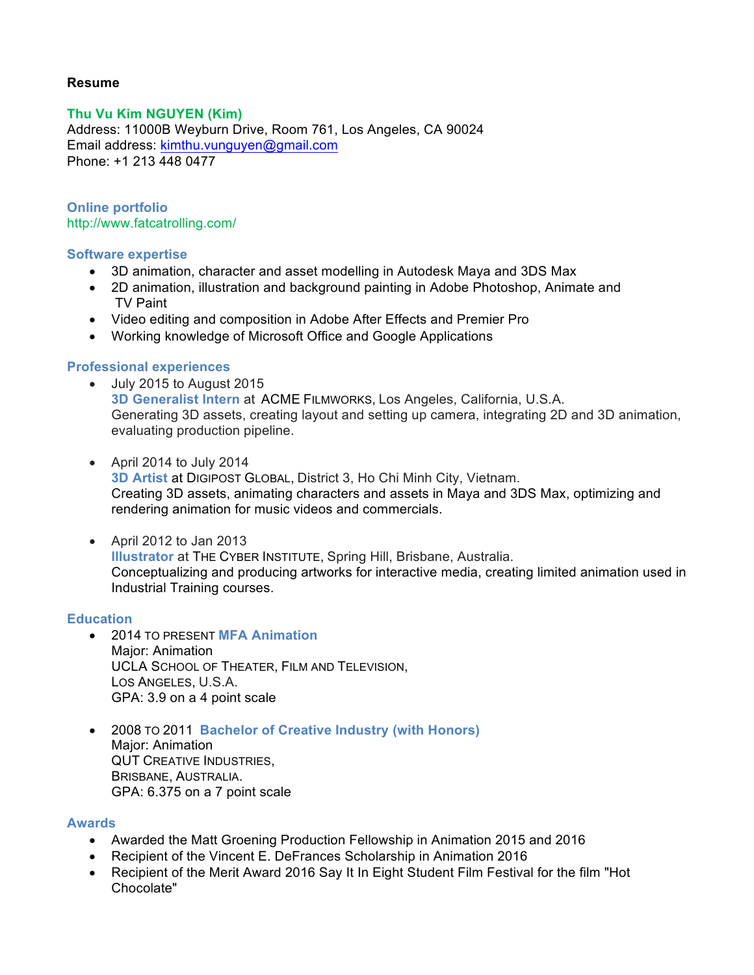# **Resume**

# **Thu Vu Kim NGUYEN (Kim)**

Address: 11000B Weyburn Drive, Room 761, Los Angeles, CA 90024 Email address: kimthu.vunguyen@gmail.com Phone: +1 213 448 0477

**Online portfolio** http://www.fatcatrolling.com/

### **Software expertise**

- 3D animation, character and asset modelling in Autodesk Maya and 3DS Max
- 2D animation, illustration and background painting in Adobe Photoshop, Animate and TV Paint
- Video editing and composition in Adobe After Effects and Premier Pro
- Working knowledge of Microsoft Office and Google Applications

## **Professional experiences**

- July 2015 to August 2015 **3D Generalist Intern** at ACME FILMWORKS, Los Angeles, California, U.S.A. Generating 3D assets, creating layout and setting up camera, integrating 2D and 3D animation, evaluating production pipeline.
- April 2014 to July 2014 **3D Artist** at DIGIPOST GLOBAL, District 3, Ho Chi Minh City, Vietnam. Creating 3D assets, animating characters and assets in Maya and 3DS Max, optimizing and rendering animation for music videos and commercials.
- April 2012 to Jan 2013 **Illustrator** at THE CYBER INSTITUTE, Spring Hill, Brisbane, Australia. Conceptualizing and producing artworks for interactive media, creating limited animation used in Industrial Training courses.

## **Education**

- 2014 TO PRESENT **MFA Animation**  Major: Animation UCLA SCHOOL OF THEATER, FILM AND TELEVISION, LOS ANGELES, U.S.A. GPA: 3.9 on a 4 point scale
- 2008 TO 2011 **Bachelor of Creative Industry (with Honors)** Major: Animation QUT CREATIVE INDUSTRIES, BRISBANE, AUSTRALIA. GPA: 6.375 on a 7 point scale

## **Awards**

- Awarded the Matt Groening Production Fellowship in Animation 2015 and 2016
- Recipient of the Vincent E. DeFrances Scholarship in Animation 2016
- Recipient of the Merit Award 2016 Say It In Eight Student Film Festival for the film "Hot Chocolate"